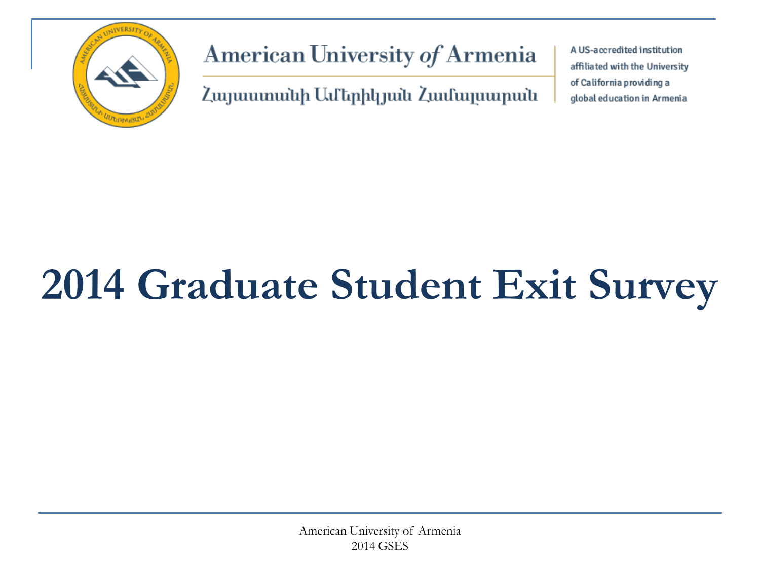

American University of Armenia

Հայաստանի Ամերիկյան Համալսարան

A US-accredited institution affiliated with the University of California providing a global education in Armenia

# **2014 Graduate Student Exit Survey**

American University of Armenia 2014 GSES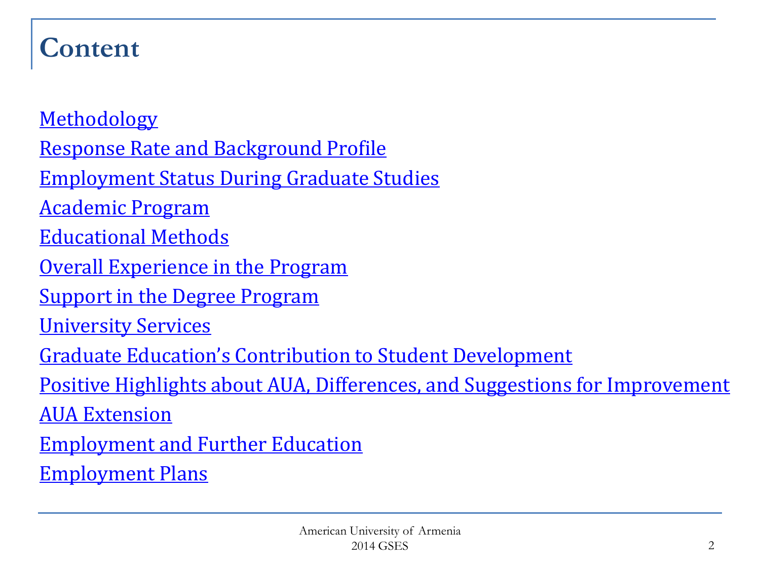#### **Content**

**[Methodology](#page-2-0)** [Response Rate and Background Profile](#page-3-0) [Employment Status During Graduate Studies](#page-6-0) [Academic Program](#page-9-0) [Educational Methods](#page-11-0) [Overall Experience in the Program](#page-13-0) **[Support in the Degree Program](#page-14-0)** [University Services](#page-15-0) [Graduate Education's Contribution to Student Development](#page-17-0) Positive Highlights about AUA, Differences, and Suggestions for Improvement [AUA Extension](#page-19-0) [Employment and Further Education](#page-20-0) [Employment Plans](#page-21-0)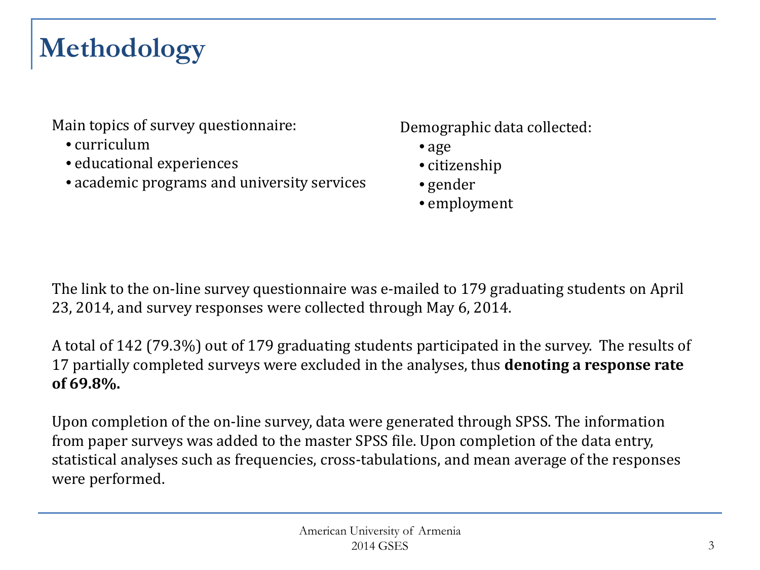# <span id="page-2-0"></span>**Methodology**

Main topics of survey questionnaire:

- curriculum
- educational experiences
- academic programs and university services

Demographic data collected:

- age
- citizenship
- gender
- employment

The link to the on-line survey questionnaire was e-mailed to 179 graduating students on April 23, 2014, and survey responses were collected through May 6, 2014.

A total of 142 (79.3%) out of 179 graduating students participated in the survey. The results of 17 partially completed surveys were excluded in the analyses, thus **denoting a response rate of 69.8%.**

Upon completion of the on-line survey, data were generated through SPSS. The information from paper surveys was added to the master SPSS file. Upon completion of the data entry, statistical analyses such as frequencies, cross-tabulations, and mean average of the responses were performed.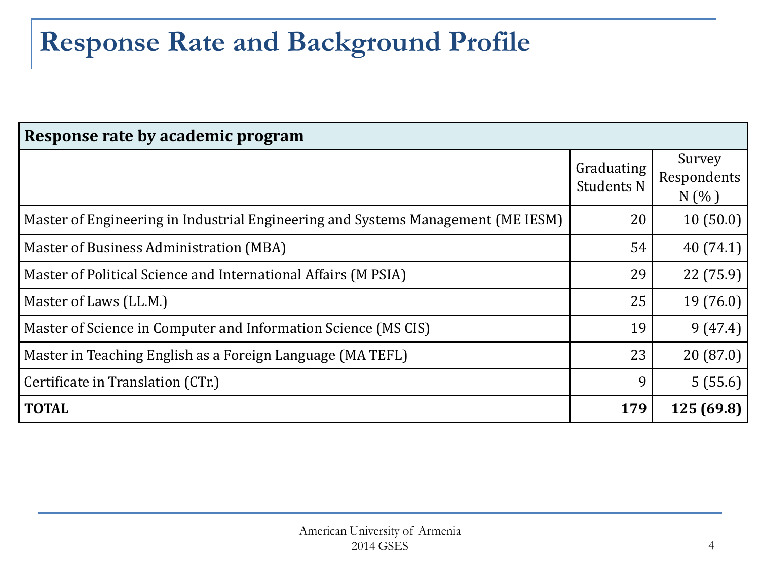#### <span id="page-3-0"></span>**Response Rate and Background Profile**

| Response rate by academic program                                                |                                 |                                |  |  |  |  |  |  |
|----------------------------------------------------------------------------------|---------------------------------|--------------------------------|--|--|--|--|--|--|
|                                                                                  | Graduating<br><b>Students N</b> | Survey<br>Respondents<br>N(% ) |  |  |  |  |  |  |
| Master of Engineering in Industrial Engineering and Systems Management (ME IESM) | 20                              | 10(50.0)                       |  |  |  |  |  |  |
| Master of Business Administration (MBA)                                          | 54                              | 40(74.1)                       |  |  |  |  |  |  |
| Master of Political Science and International Affairs (M PSIA)                   | 29                              | 22(75.9)                       |  |  |  |  |  |  |
| Master of Laws (LL.M.)                                                           | 25                              | 19(76.0)                       |  |  |  |  |  |  |
| Master of Science in Computer and Information Science (MS CIS)                   | 19                              | 9(47.4)                        |  |  |  |  |  |  |
| Master in Teaching English as a Foreign Language (MA TEFL)                       | 23                              | 20(87.0)                       |  |  |  |  |  |  |
| Certificate in Translation (CTr.)                                                | 9                               | 5(55.6)                        |  |  |  |  |  |  |
| <b>TOTAL</b>                                                                     | 179                             | 125 (69.8)                     |  |  |  |  |  |  |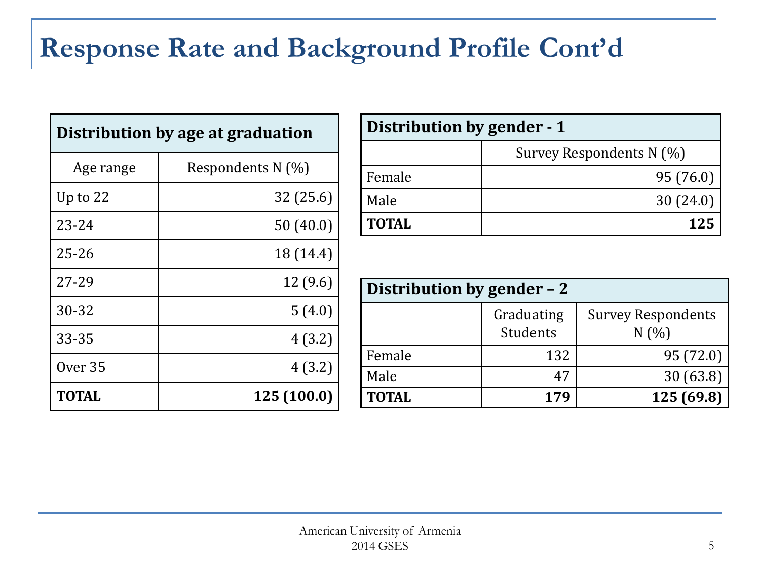#### **Response Rate and Background Profile Cont'd**

| Distribution by age at graduation |                   |  |  |  |  |  |
|-----------------------------------|-------------------|--|--|--|--|--|
| Age range                         | Respondents N (%) |  |  |  |  |  |
| Up to $22$                        | 32 (25.6)         |  |  |  |  |  |
| $23 - 24$                         | 50(40.0)          |  |  |  |  |  |
| $25 - 26$                         | 18 (14.4)         |  |  |  |  |  |
| 27-29                             | 12(9.6)           |  |  |  |  |  |
| 30-32                             | 5(4.0)            |  |  |  |  |  |
| 33-35                             | 4(3.2)            |  |  |  |  |  |
| Over <sub>35</sub>                | 4(3.2)            |  |  |  |  |  |
| TOTAL                             | 125 (100.0)       |  |  |  |  |  |

| Distribution by gender - 1 |                          |  |  |  |  |  |  |
|----------------------------|--------------------------|--|--|--|--|--|--|
|                            | Survey Respondents N (%) |  |  |  |  |  |  |
| Female                     | 95 (76.0)                |  |  |  |  |  |  |
| Male                       | 30(24.0)                 |  |  |  |  |  |  |
| <b>TOTAL</b>               | 125                      |  |  |  |  |  |  |

| Distribution by gender - 2 |                        |                                  |  |  |  |  |  |  |  |
|----------------------------|------------------------|----------------------------------|--|--|--|--|--|--|--|
|                            | Graduating<br>Students | <b>Survey Respondents</b><br>N(% |  |  |  |  |  |  |  |
| Female                     | 132                    | 95 (72.0)                        |  |  |  |  |  |  |  |
| Male                       | 47                     | 30(63.8)                         |  |  |  |  |  |  |  |
| <b>TOTAL</b>               | 179                    | 125 (69.8)                       |  |  |  |  |  |  |  |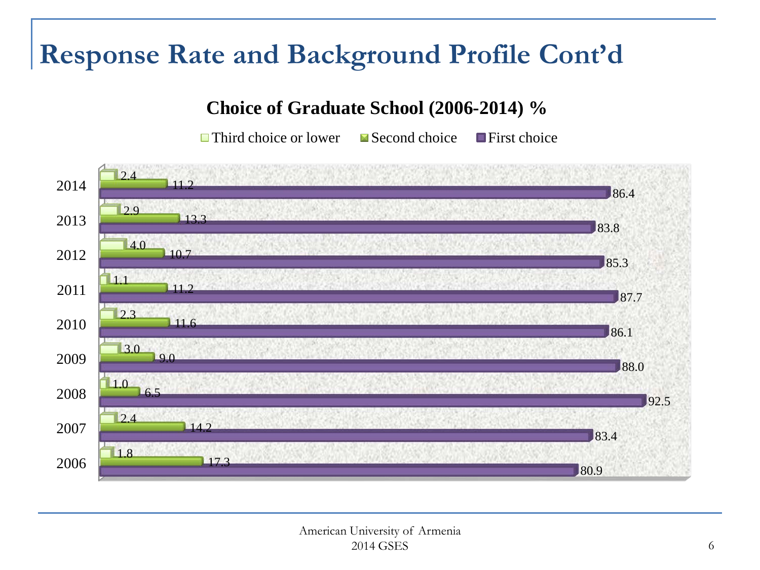#### **Response Rate and Background Profile Cont'd**

#### **Choice of Graduate School (2006-2014) %**

 $\Box$  Third choice or lower  $\Box$  Second choice  $\Box$  First choice

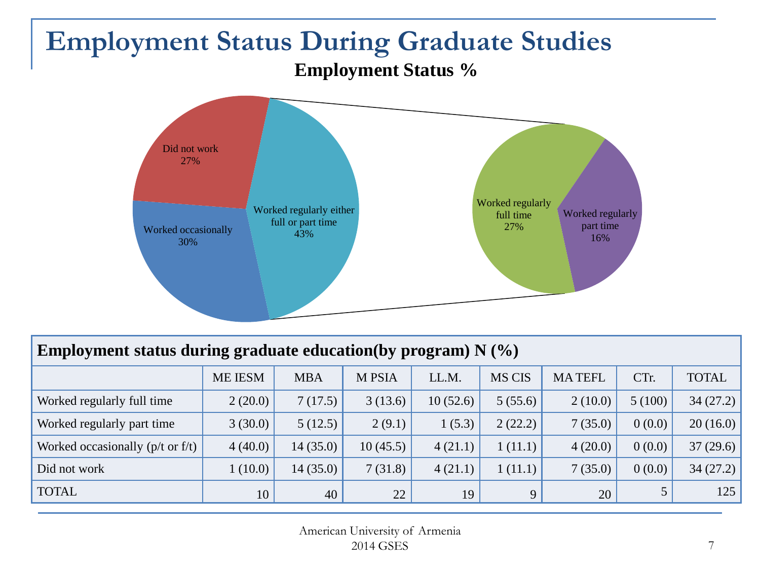#### <span id="page-6-0"></span>**Employment Status During Graduate Studies Employment Status %**



| Employment status during graduate education(by program) $N$ (%) |         |            |               |          |               |               |        |              |  |  |  |
|-----------------------------------------------------------------|---------|------------|---------------|----------|---------------|---------------|--------|--------------|--|--|--|
|                                                                 | ME IESM | <b>MBA</b> | <b>M PSIA</b> | LL.M.    | <b>MS CIS</b> | <b>MATEFL</b> | CTr.   | <b>TOTAL</b> |  |  |  |
| Worked regularly full time                                      | 2(20.0) | 7(17.5)    | 3(13.6)       | 10(52.6) | 5(55.6)       | 2(10.0)       | 5(100) | 34(27.2)     |  |  |  |
| Worked regularly part time                                      | 3(30.0) | 5(12.5)    | 2(9.1)        | 1(5.3)   | 2(22.2)       | 7(35.0)       | 0(0.0) | 20(16.0)     |  |  |  |
| Worked occasionally ( $p/t$ or $f/t$ )                          | 4(40.0) | 14(35.0)   | 10(45.5)      | 4(21.1)  | 1(11.1)       | 4(20.0)       | 0(0.0) | 37(29.6)     |  |  |  |
| Did not work                                                    | 1(10.0) | 14(35.0)   | 7(31.8)       | 4(21.1)  | 1(11.1)       | 7(35.0)       | 0(0.0) | 34(27.2)     |  |  |  |
| <b>TOTAL</b>                                                    | 10      | 40         | 22            | 19       | 9             | 20            |        | 125          |  |  |  |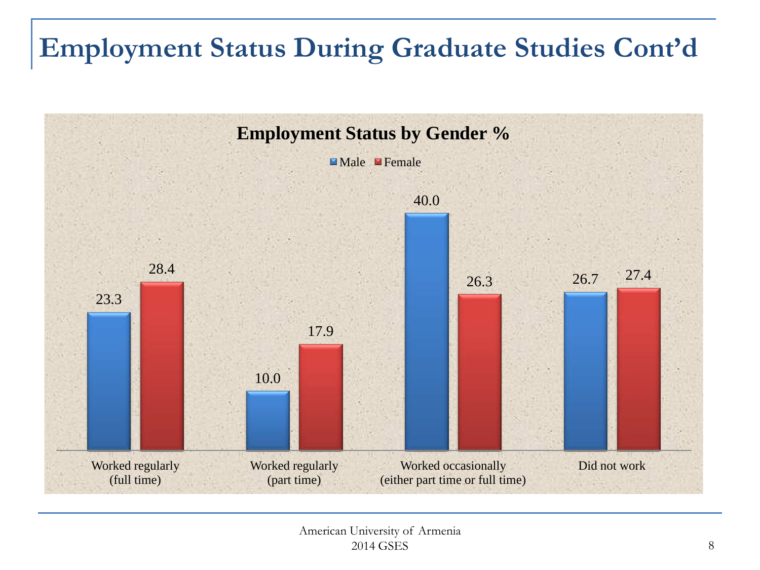## **Employment Status During Graduate Studies Cont'd**

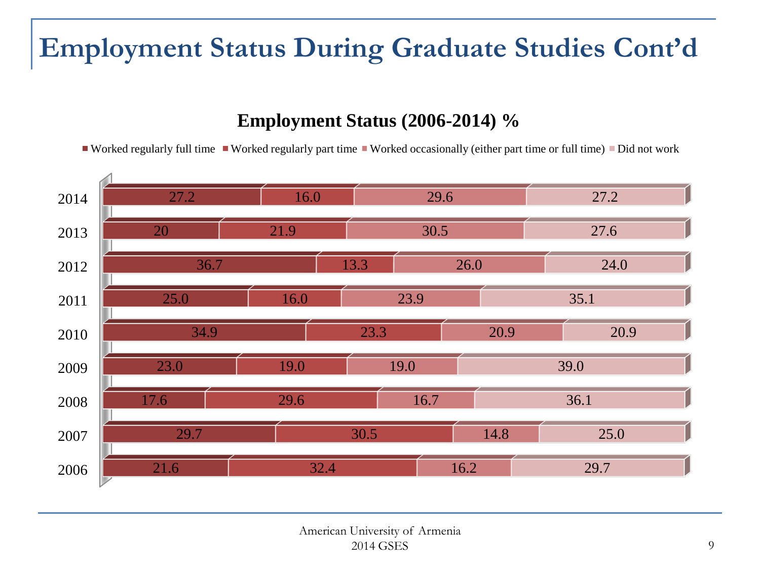## **Employment Status During Graduate Studies Cont'd**

#### **Employment Status (2006-2014) %**

Worked regularly full time Worked regularly part time Worked occasionally (either part time or full time) Did not work

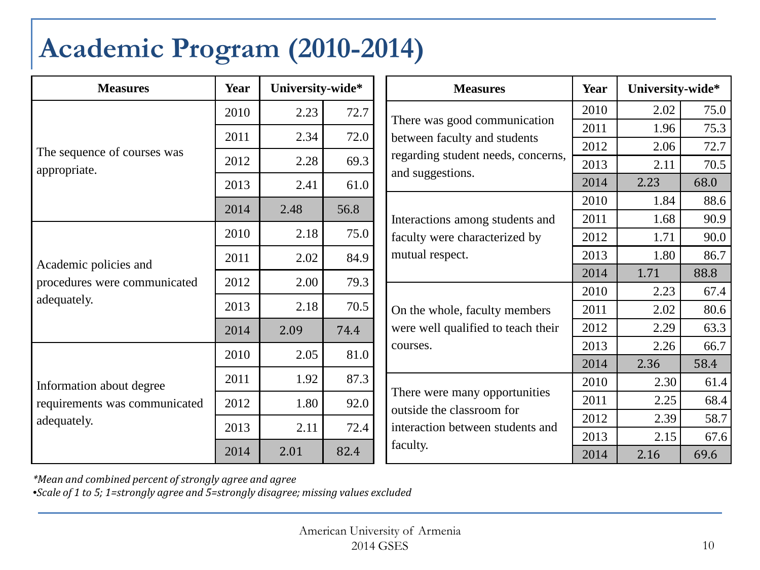#### <span id="page-9-0"></span>**Academic Program (2010-2014)**

| <b>Measures</b>               | Year | University-wide* |      | <b>Measures</b>                                                                   | Year | University-wide* |      |
|-------------------------------|------|------------------|------|-----------------------------------------------------------------------------------|------|------------------|------|
|                               | 2010 | 2.23             | 72.7 | There was good communication                                                      | 2010 | 2.02             | 75.0 |
|                               | 2011 | 2.34             | 72.0 | between faculty and students                                                      | 2011 | 1.96             | 75.3 |
| The sequence of courses was   | 2012 | 2.28             | 69.3 | regarding student needs, concerns,                                                | 2012 | 2.06             | 72.7 |
| appropriate.                  |      |                  |      | and suggestions.                                                                  | 2013 | 2.11             | 70.5 |
|                               | 2013 | 2.41             | 61.0 |                                                                                   | 2014 | 2.23             | 68.0 |
|                               | 2014 | 2.48             | 56.8 |                                                                                   | 2010 | 1.84             | 88.6 |
| Academic policies and         |      |                  |      | Interactions among students and                                                   | 2011 | 1.68             | 90.9 |
|                               | 2010 | 2.18             | 75.0 | faculty were characterized by<br>mutual respect.<br>On the whole, faculty members | 2012 | 1.71             | 90.0 |
|                               | 2011 | 2.02             | 84.9 |                                                                                   | 2013 | 1.80             | 86.7 |
| procedures were communicated  | 2012 | 2.00             | 79.3 |                                                                                   | 2014 | 1.71             | 88.8 |
| adequately.                   |      |                  |      |                                                                                   | 2010 | 2.23             | 67.4 |
|                               | 2013 | 2.18             | 70.5 |                                                                                   | 2011 | 2.02             | 80.6 |
|                               | 2014 | 2.09             | 74.4 | were well qualified to teach their                                                | 2012 | 2.29             | 63.3 |
|                               | 2010 | 2.05             | 81.0 | courses.                                                                          | 2013 | 2.26             | 66.7 |
|                               |      |                  |      |                                                                                   | 2014 | 2.36             | 58.4 |
| Information about degree      | 2011 | 1.92             | 87.3 |                                                                                   | 2010 | 2.30             | 61.4 |
| requirements was communicated | 2012 | 1.80             | 92.0 | There were many opportunities<br>outside the classroom for                        | 2011 | 2.25             | 68.4 |
| adequately.                   | 2013 | 2.11             | 72.4 | interaction between students and                                                  | 2012 | 2.39             | 58.7 |
|                               |      |                  |      | faculty.                                                                          | 2013 | 2.15             | 67.6 |
|                               | 2014 | 2.01             | 82.4 |                                                                                   | 2014 | 2.16             | 69.6 |

*\*Mean and combined percent of strongly agree and agree* 

•*Scale of 1 to 5; 1=strongly agree and 5=strongly disagree; missing values excluded*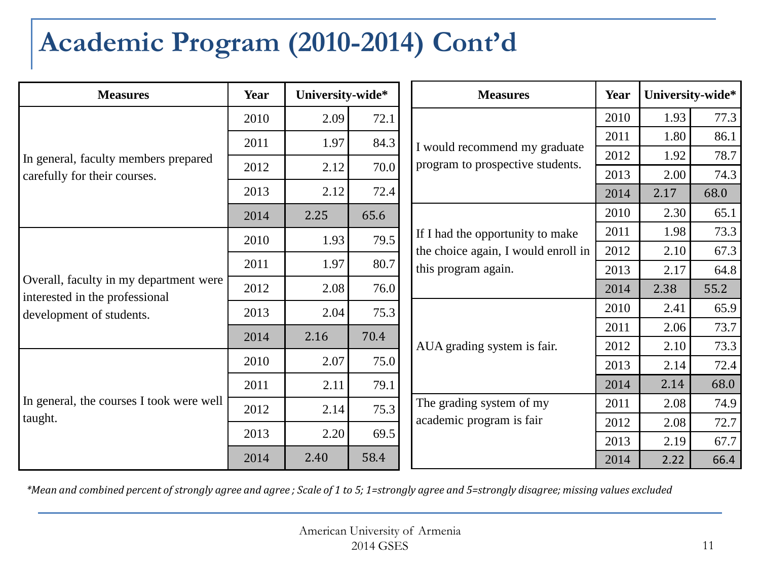## **Academic Program (2010-2014) Cont'd**

| <b>Measures</b>                                                          | Year | University-wide* |      |  |                                                                                                |      | <b>Measures</b> | <b>Year</b> | University-wide* |  |
|--------------------------------------------------------------------------|------|------------------|------|--|------------------------------------------------------------------------------------------------|------|-----------------|-------------|------------------|--|
| In general, faculty members prepared                                     | 2010 | 2.09             | 72.1 |  |                                                                                                |      | 2010            | 1.93        | 77.3             |  |
|                                                                          | 2011 | 1.97             | 84.3 |  | I would recommend my graduate                                                                  | 2011 | 1.80            | 86.1        |                  |  |
|                                                                          | 2012 | 2.12             | 70.0 |  | program to prospective students.                                                               | 2012 | 1.92            | 78.7        |                  |  |
| carefully for their courses.                                             |      |                  |      |  |                                                                                                | 2013 | 2.00            | 74.3        |                  |  |
|                                                                          | 2013 | 2.12             | 72.4 |  |                                                                                                | 2014 | 2.17            | 68.0        |                  |  |
|                                                                          | 2014 | 2.25             | 65.6 |  |                                                                                                | 2010 | 2.30            | 65.1        |                  |  |
|                                                                          | 2010 | 1.93             | 79.5 |  | If I had the opportunity to make<br>the choice again, I would enroll in<br>this program again. | 2011 | 1.98            | 73.3        |                  |  |
|                                                                          |      |                  |      |  |                                                                                                | 2012 | 2.10            | 67.3        |                  |  |
|                                                                          | 2011 | 1.97             | 80.7 |  |                                                                                                | 2013 | 2.17            | 64.8        |                  |  |
| Overall, faculty in my department were<br>interested in the professional | 2012 | 2.08             | 76.0 |  |                                                                                                | 2014 | 2.38            | 55.2        |                  |  |
| development of students.                                                 | 2013 | 2.04             | 75.3 |  |                                                                                                | 2010 | 2.41            | 65.9        |                  |  |
|                                                                          | 2014 | 2.16             | 70.4 |  |                                                                                                | 2011 | 2.06            | 73.7        |                  |  |
|                                                                          |      |                  |      |  | AUA grading system is fair.                                                                    | 2012 | 2.10            | 73.3        |                  |  |
|                                                                          | 2010 | 2.07             | 75.0 |  |                                                                                                | 2013 | 2.14            | 72.4        |                  |  |
|                                                                          | 2011 | 2.11             | 79.1 |  |                                                                                                | 2014 | 2.14            | 68.0        |                  |  |
| In general, the courses I took were well                                 | 2012 | 2.14             | 75.3 |  | The grading system of my                                                                       | 2011 | 2.08            | 74.9        |                  |  |
| taught.                                                                  |      |                  |      |  | academic program is fair                                                                       | 2012 | 2.08            | 72.7        |                  |  |
|                                                                          | 2013 | 2.20             | 69.5 |  |                                                                                                | 2013 | 2.19            | 67.7        |                  |  |
|                                                                          | 2014 | 2.40             | 58.4 |  |                                                                                                | 2014 | 2.22            | 66.4        |                  |  |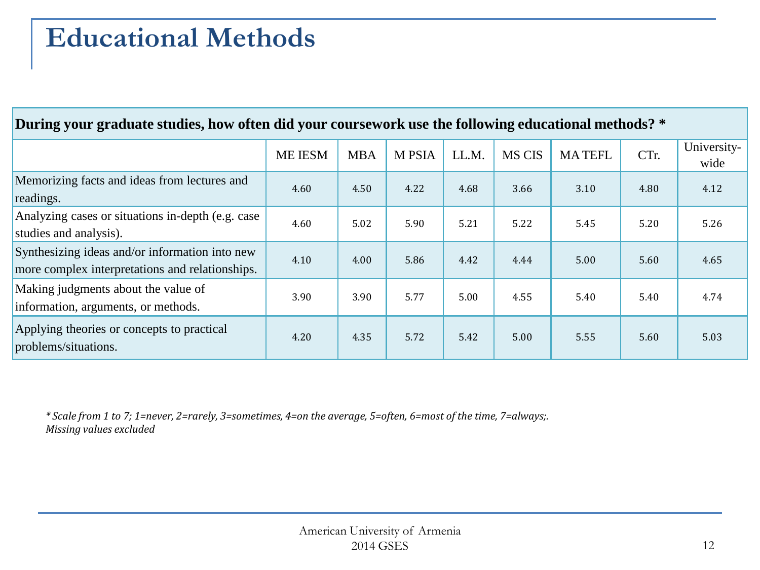#### <span id="page-11-0"></span>**Educational Methods**

#### **During your graduate studies, how often did your coursework use the following educational methods? \***

|                                                                                                   | <b>ME IESM</b> | <b>MBA</b> | <b>M PSIA</b> | LL.M | <b>MS CIS</b> | <b>MATEFL</b> | CTr. | University-<br>wide |
|---------------------------------------------------------------------------------------------------|----------------|------------|---------------|------|---------------|---------------|------|---------------------|
| Memorizing facts and ideas from lectures and<br>readings.                                         | 4.60           | 4.50       | 4.22          | 4.68 | 3.66          | 3.10          | 4.80 | 4.12                |
| Analyzing cases or situations in-depth (e.g. case)<br>studies and analysis).                      | 4.60           | 5.02       | 5.90          | 5.21 | 5.22          | 5.45          | 5.20 | 5.26                |
| Synthesizing ideas and/or information into new<br>more complex interpretations and relationships. | 4.10           | 4.00       | 5.86          | 4.42 | 4.44          | 5.00          | 5.60 | 4.65                |
| Making judgments about the value of<br>information, arguments, or methods.                        | 3.90           | 3.90       | 5.77          | 5.00 | 4.55          | 5.40          | 5.40 | 4.74                |
| Applying theories or concepts to practical<br>problems/situations.                                | 4.20           | 4.35       | 5.72          | 5.42 | 5.00          | 5.55          | 5.60 | 5.03                |

*\* Scale from 1 to 7; 1=never, 2=rarely, 3=sometimes, 4=on the average, 5=often, 6=most of the time, 7=always;. Missing values excluded*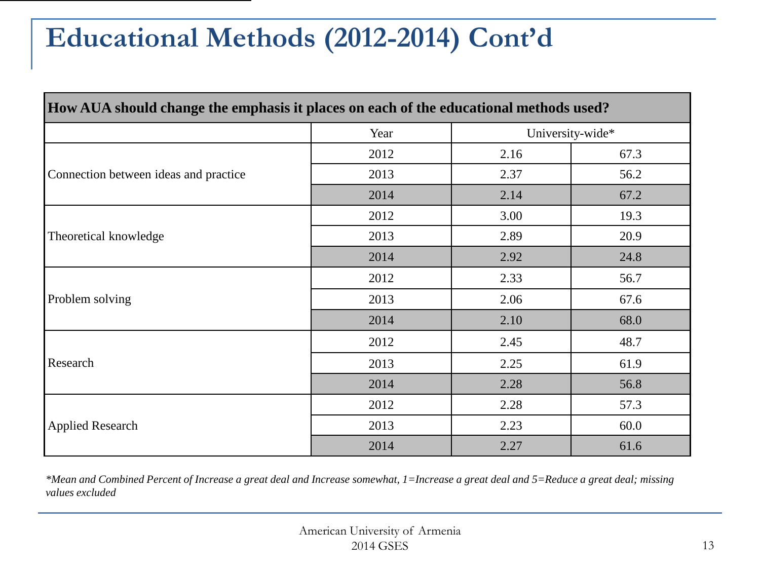#### **Educational Methods (2012-2014) Cont'd**

| How AUA should change the emphasis it places on each of the educational methods used? |      |      |                  |
|---------------------------------------------------------------------------------------|------|------|------------------|
|                                                                                       | Year |      | University-wide* |
|                                                                                       | 2012 | 2.16 | 67.3             |
| Connection between ideas and practice                                                 | 2013 | 2.37 | 56.2             |
|                                                                                       | 2014 | 2.14 | 67.2             |
|                                                                                       | 2012 | 3.00 | 19.3             |
| Theoretical knowledge                                                                 | 2013 | 2.89 | 20.9             |
|                                                                                       | 2014 | 2.92 | 24.8             |
|                                                                                       | 2012 | 2.33 | 56.7             |
| Problem solving                                                                       | 2013 | 2.06 | 67.6             |
|                                                                                       | 2014 | 2.10 | 68.0             |
|                                                                                       | 2012 | 2.45 | 48.7             |
| Research                                                                              | 2013 | 2.25 | 61.9             |
|                                                                                       | 2014 | 2.28 | 56.8             |
|                                                                                       | 2012 | 2.28 | 57.3             |
| <b>Applied Research</b>                                                               | 2013 | 2.23 | 60.0             |
|                                                                                       | 2014 | 2.27 | 61.6             |

*\*Mean and Combined Percent of Increase a great deal and Increase somewhat, 1=Increase a great deal and 5=Reduce a great deal; missing values excluded*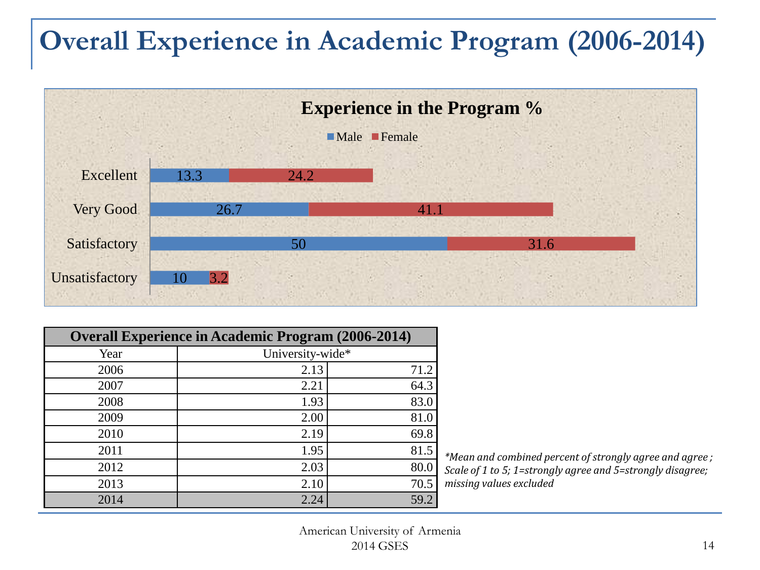#### <span id="page-13-0"></span>**Overall Experience in Academic Program (2006-2014)**



| <b>Overall Experience in Academic Program (2006-2014)</b> |                  |                |  |  |  |  |  |
|-----------------------------------------------------------|------------------|----------------|--|--|--|--|--|
| Year                                                      | University-wide* |                |  |  |  |  |  |
| 2006                                                      | 2.13             | 71.2           |  |  |  |  |  |
| 2007                                                      | 2.21             | 64.3           |  |  |  |  |  |
| 2008                                                      | 1.93             | 83.0           |  |  |  |  |  |
| 2009                                                      | 2.00             | 81.0           |  |  |  |  |  |
| 2010                                                      | 2.19             | 69.8           |  |  |  |  |  |
| 2011                                                      | 1.95             | 81.5<br>$\ast$ |  |  |  |  |  |
| 2012                                                      | 2.03             | 80.0           |  |  |  |  |  |
| 2013                                                      | 2.10             | 70.5<br>r      |  |  |  |  |  |
| 2014                                                      | 2.24             | 59.2           |  |  |  |  |  |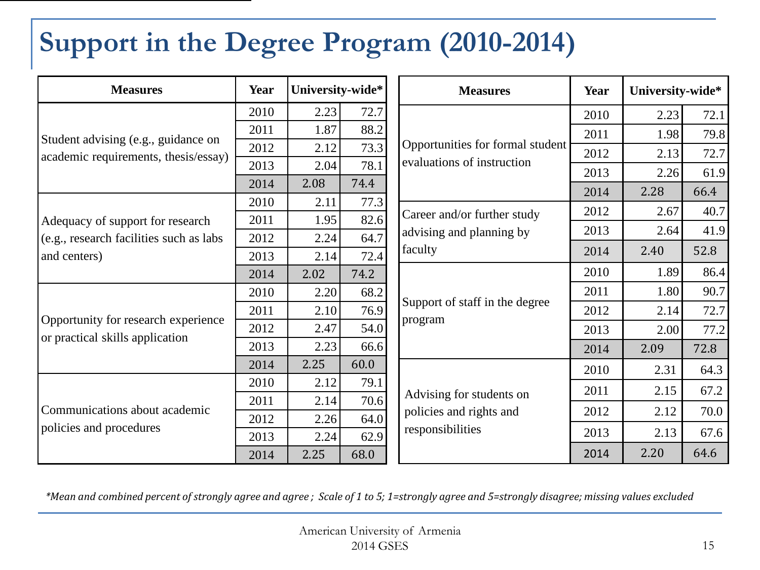# <span id="page-14-0"></span>**Support in the Degree Program (2010-2014)**

| <b>Measures</b>                                                             | Year | University-wide* |      | <b>Measures</b>                     | Year | University-wide* |      |
|-----------------------------------------------------------------------------|------|------------------|------|-------------------------------------|------|------------------|------|
| Student advising (e.g., guidance on<br>academic requirements, thesis/essay) | 2010 | 2.23             | 72.7 |                                     | 2010 | 2.23             | 72.1 |
|                                                                             | 2011 | 1.87             | 88.2 |                                     | 2011 | 1.98             | 79.8 |
|                                                                             | 2012 | 2.12             | 73.3 | Opportunities for formal student    | 2012 | 2.13             | 72.7 |
|                                                                             | 2013 | 2.04             | 78.1 | evaluations of instruction          | 2013 | 2.26             | 61.9 |
|                                                                             | 2014 | 2.08             | 74.4 |                                     | 2014 | 2.28             | 66.4 |
|                                                                             | 2010 | 2.11             | 77.3 |                                     | 2012 | 2.67             | 40.7 |
| Adequacy of support for research                                            | 2011 | 1.95             | 82.6 | Career and/or further study         | 2013 | 2.64             | 41.9 |
| (e.g., research facilities such as labs                                     | 2012 | 2.24             | 64.7 | advising and planning by<br>faculty |      |                  |      |
| and centers)                                                                | 2013 | 2.14             | 72.4 |                                     | 2014 | 2.40             | 52.8 |
|                                                                             | 2014 | 2.02             | 74.2 |                                     | 2010 | 1.89             | 86.4 |
|                                                                             | 2010 | 2.20             | 68.2 |                                     | 2011 | 1.80             | 90.7 |
|                                                                             | 2011 | 2.10             | 76.9 | Support of staff in the degree      | 2012 | 2.14             | 72.7 |
| Opportunity for research experience<br>or practical skills application      | 2012 | 2.47             | 54.0 | program                             | 2013 | 2.00             | 77.2 |
|                                                                             | 2013 | 2.23             | 66.6 |                                     | 2014 | 2.09             | 72.8 |
|                                                                             | 2014 | 2.25             | 60.0 |                                     | 2010 | 2.31             | 64.3 |
|                                                                             | 2010 | 2.12             | 79.1 |                                     | 2011 | 2.15             | 67.2 |
| Communications about academic                                               | 2011 | 2.14             | 70.6 | Advising for students on            |      |                  |      |
|                                                                             | 2012 | 2.26             | 64.0 | policies and rights and             | 2012 | 2.12             | 70.0 |
| policies and procedures                                                     | 2013 | 2.24             | 62.9 | responsibilities                    | 2013 | 2.13             | 67.6 |
|                                                                             | 2014 | 2.25             | 68.0 |                                     | 2014 | 2.20             | 64.6 |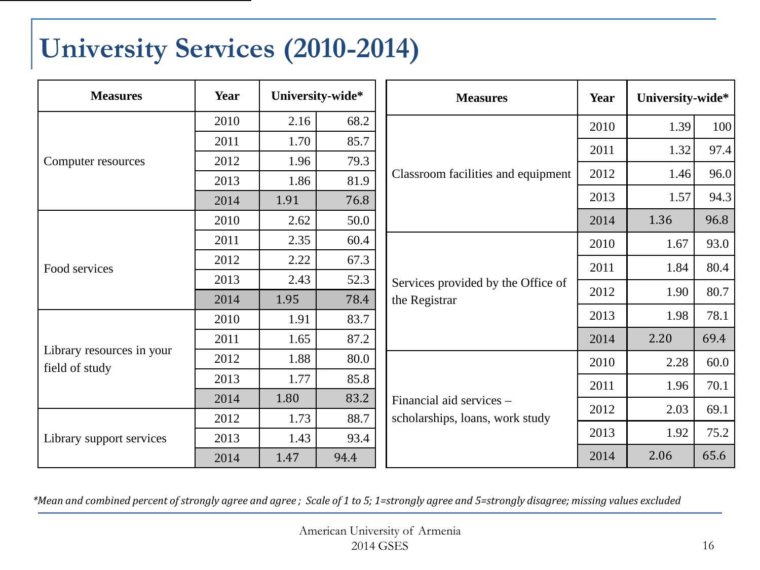#### <span id="page-15-0"></span>**University Services (2010-2014)**

| <b>Measures</b>                             | Year | University-wide* |      |                                    |      | <b>Measures</b> | Year | University-wide* |  |
|---------------------------------------------|------|------------------|------|------------------------------------|------|-----------------|------|------------------|--|
|                                             | 2010 | 2.16             | 68.2 |                                    | 2010 | 1.39            | 100  |                  |  |
|                                             | 2011 | 1.70             | 85.7 |                                    | 2011 | 1.32            | 97.4 |                  |  |
| Computer resources                          | 2012 | 1.96             | 79.3 |                                    |      |                 |      |                  |  |
|                                             | 2013 | 1.86             | 81.9 | Classroom facilities and equipment | 2012 | 1.46            | 96.0 |                  |  |
|                                             | 2014 | 1.91             | 76.8 |                                    | 2013 | 1.57            | 94.3 |                  |  |
|                                             | 2010 | 2.62             | 50.0 |                                    | 2014 | 1.36            | 96.8 |                  |  |
|                                             | 2011 | 2.35             | 60.4 |                                    | 2010 | 1.67            | 93.0 |                  |  |
| Food services                               | 2012 | 2.22             | 67.3 |                                    | 2011 | 1.84            | 80.4 |                  |  |
|                                             | 2013 | 2.43             | 52.3 | Services provided by the Office of |      |                 |      |                  |  |
|                                             | 2014 | 1.95             | 78.4 | the Registrar                      | 2012 | 1.90            | 80.7 |                  |  |
|                                             | 2010 | 1.91             | 83.7 |                                    | 2013 | 1.98            | 78.1 |                  |  |
|                                             | 2011 | 1.65             | 87.2 |                                    | 2014 | 2.20            | 69.4 |                  |  |
| Library resources in your<br>field of study | 2012 | 1.88             | 80.0 |                                    | 2010 | 2.28            | 60.0 |                  |  |
|                                             | 2013 | 1.77             | 85.8 |                                    | 2011 | 1.96            | 70.1 |                  |  |
|                                             | 2014 | 1.80             | 83.2 | Financial aid services -           |      |                 |      |                  |  |
|                                             | 2012 | 1.73             | 88.7 | scholarships, loans, work study    | 2012 | 2.03            | 69.1 |                  |  |
| Library support services                    | 2013 | 1.43             | 93.4 |                                    | 2013 | 1.92            | 75.2 |                  |  |
|                                             | 2014 | 1.47             | 94.4 |                                    | 2014 | 2.06            | 65.6 |                  |  |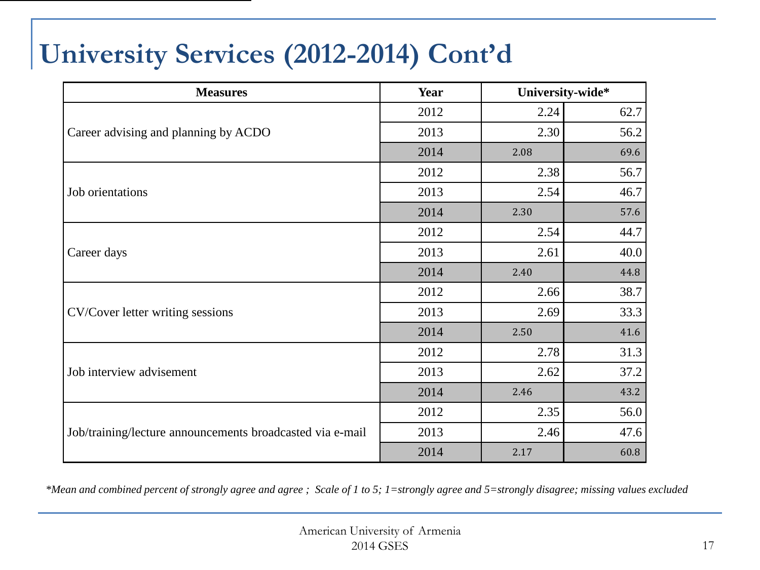## **University Services (2012-2014) Cont'd**

| <b>Measures</b>                                           | Year | University-wide* |      |  |
|-----------------------------------------------------------|------|------------------|------|--|
|                                                           | 2012 | 2.24             | 62.7 |  |
| Career advising and planning by ACDO                      | 2013 | 2.30             | 56.2 |  |
|                                                           | 2014 | 2.08             | 69.6 |  |
|                                                           | 2012 | 2.38             | 56.7 |  |
| Job orientations                                          | 2013 | 2.54             | 46.7 |  |
|                                                           | 2014 | 2.30             | 57.6 |  |
|                                                           | 2012 | 2.54             | 44.7 |  |
| Career days                                               | 2013 | 2.61             | 40.0 |  |
|                                                           | 2014 | 2.40             | 44.8 |  |
|                                                           | 2012 | 2.66             | 38.7 |  |
| CV/Cover letter writing sessions                          | 2013 | 2.69             | 33.3 |  |
|                                                           | 2014 | 2.50             | 41.6 |  |
|                                                           | 2012 | 2.78             | 31.3 |  |
| Job interview advisement                                  | 2013 | 2.62             | 37.2 |  |
|                                                           | 2014 | 2.46             | 43.2 |  |
|                                                           | 2012 | 2.35             | 56.0 |  |
| Job/training/lecture announcements broadcasted via e-mail | 2013 | 2.46             | 47.6 |  |
|                                                           | 2014 | 2.17             | 60.8 |  |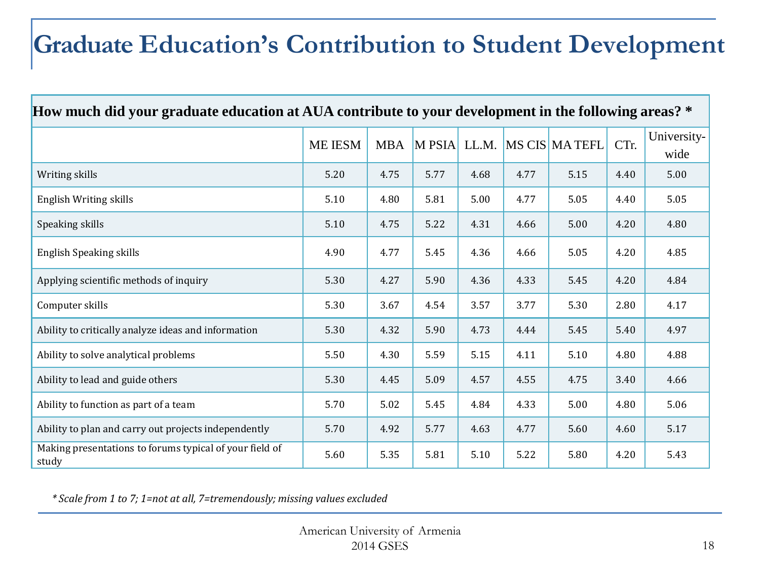#### <span id="page-17-0"></span>**Graduate Education's Contribution to Student Development**

| How much did your graduate education at AUA contribute to your development in the following areas? * |         |            |        |      |      |                     |      |                     |  |
|------------------------------------------------------------------------------------------------------|---------|------------|--------|------|------|---------------------|------|---------------------|--|
|                                                                                                      | ME IESM | <b>MBA</b> | M PSIA |      |      | LL.M. MS CIS MATEFL | CTr. | University-<br>wide |  |
| Writing skills                                                                                       | 5.20    | 4.75       | 5.77   | 4.68 | 4.77 | 5.15                | 4.40 | 5.00                |  |
| English Writing skills                                                                               | 5.10    | 4.80       | 5.81   | 5.00 | 4.77 | 5.05                | 4.40 | 5.05                |  |
| Speaking skills                                                                                      | 5.10    | 4.75       | 5.22   | 4.31 | 4.66 | 5.00                | 4.20 | 4.80                |  |
| <b>English Speaking skills</b>                                                                       | 4.90    | 4.77       | 5.45   | 4.36 | 4.66 | 5.05                | 4.20 | 4.85                |  |
| Applying scientific methods of inquiry                                                               | 5.30    | 4.27       | 5.90   | 4.36 | 4.33 | 5.45                | 4.20 | 4.84                |  |
| Computer skills                                                                                      | 5.30    | 3.67       | 4.54   | 3.57 | 3.77 | 5.30                | 2.80 | 4.17                |  |
| Ability to critically analyze ideas and information                                                  | 5.30    | 4.32       | 5.90   | 4.73 | 4.44 | 5.45                | 5.40 | 4.97                |  |
| Ability to solve analytical problems                                                                 | 5.50    | 4.30       | 5.59   | 5.15 | 4.11 | 5.10                | 4.80 | 4.88                |  |
| Ability to lead and guide others                                                                     | 5.30    | 4.45       | 5.09   | 4.57 | 4.55 | 4.75                | 3.40 | 4.66                |  |
| Ability to function as part of a team                                                                | 5.70    | 5.02       | 5.45   | 4.84 | 4.33 | 5.00                | 4.80 | 5.06                |  |
| Ability to plan and carry out projects independently                                                 | 5.70    | 4.92       | 5.77   | 4.63 | 4.77 | 5.60                | 4.60 | 5.17                |  |
| Making presentations to forums typical of your field of<br>study                                     | 5.60    | 5.35       | 5.81   | 5.10 | 5.22 | 5.80                | 4.20 | 5.43                |  |

*\* Scale from 1 to 7; 1=not at all, 7=tremendously; missing values excluded*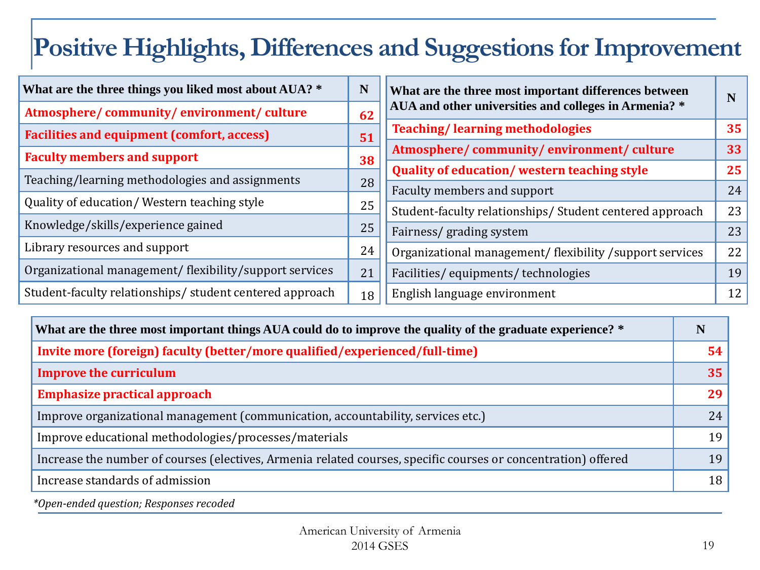#### **Positive Highlights, Differences and Suggestions for Improvement**

| What are the three things you liked most about AUA? *   | N  | What are the three most important differences between    |    |
|---------------------------------------------------------|----|----------------------------------------------------------|----|
| Atmosphere/community/environment/culture                | 62 | AUA and other universities and colleges in Armenia? *    | N  |
| <b>Facilities and equipment (comfort, access)</b>       | 51 | <b>Teaching/learning methodologies</b>                   | 35 |
| <b>Faculty members and support</b>                      |    | Atmosphere/community/environment/culture                 | 33 |
|                                                         | 38 | <b>Quality of education/western teaching style</b>       | 25 |
| Teaching/learning methodologies and assignments         | 28 | Faculty members and support                              | 24 |
| Quality of education/Western teaching style             | 25 | Student-faculty relationships/Student centered approach  | 23 |
| Knowledge/skills/experience gained                      | 25 |                                                          |    |
|                                                         |    | Fairness/ grading system                                 | 23 |
| Library resources and support                           | 24 | Organizational management/ flexibility /support services | 22 |
| Organizational management/ flexibility/support services | 21 | Facilities/equipments/technologies                       | 19 |
| Student-faculty relationships/student centered approach | 18 | English language environment                             | 12 |

| What are the three most important things AUA could do to improve the quality of the graduate experience? *     | N  |
|----------------------------------------------------------------------------------------------------------------|----|
| Invite more (foreign) faculty (better/more qualified/experienced/full-time)                                    | 54 |
| <b>Improve the curriculum</b>                                                                                  | 35 |
| <b>Emphasize practical approach</b>                                                                            | 29 |
| Improve organizational management (communication, accountability, services etc.)                               | 24 |
| Improve educational methodologies/processes/materials                                                          | 19 |
| Increase the number of courses (electives, Armenia related courses, specific courses or concentration) offered | 19 |
| Increase standards of admission                                                                                | 18 |

*\*Open-ended question; Responses recoded*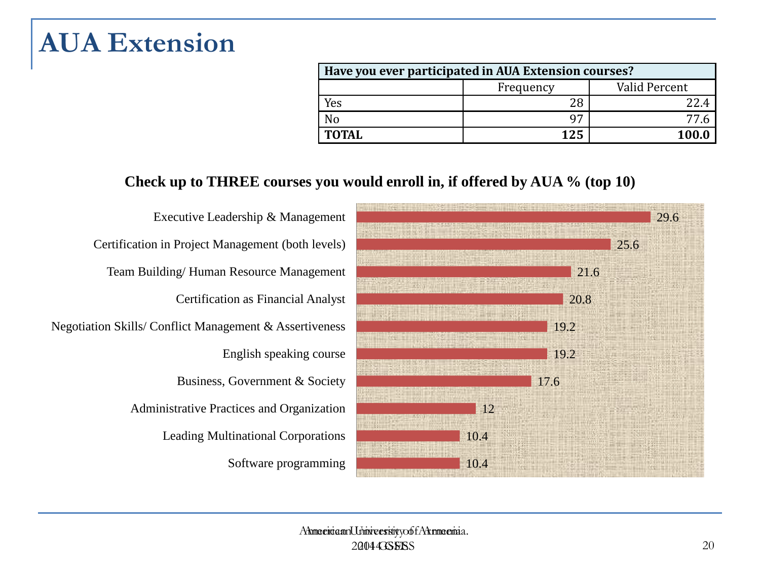#### <span id="page-19-0"></span>**AUA Extension**

| Have you ever participated in AUA Extension courses? |                            |       |  |  |  |  |
|------------------------------------------------------|----------------------------|-------|--|--|--|--|
|                                                      | Valid Percent<br>Frequency |       |  |  |  |  |
| Yes                                                  | 28                         |       |  |  |  |  |
| N <sub>0</sub>                                       | $\mathbf{Q}$               |       |  |  |  |  |
| <b>TOTAL</b>                                         | 125                        | 100.0 |  |  |  |  |

#### **Check up to THREE courses you would enroll in, if offered by AUA % (top 10)**

Software programming Leading Multinational Corporations Administrative Practices and Organization Business, Government & Society English speaking course Negotiation Skills/ Conflict Management & Assertiveness Certification as Financial Analyst Team Building/ Human Resource Management Certification in Project Management (both levels) Executive Leadership & Management

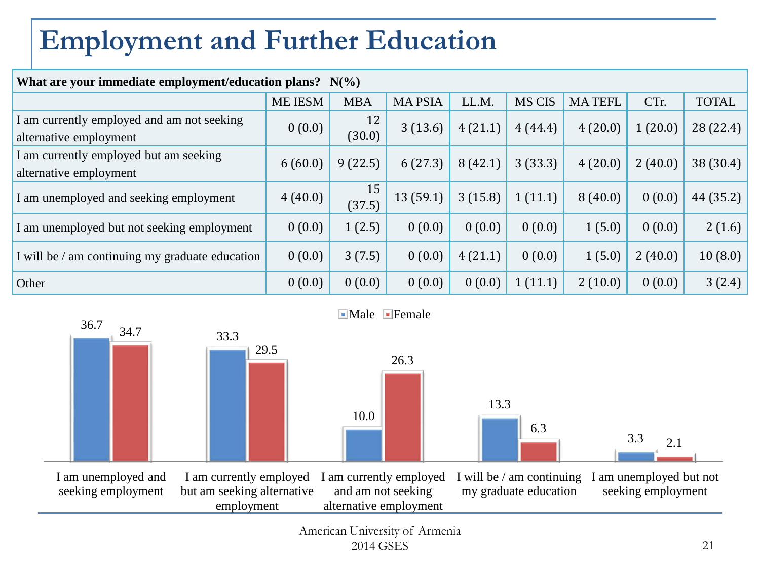## <span id="page-20-0"></span>**Employment and Further Education**

| What are your immediate employment/education plans? $N(\%)$          |                |              |               |         |               |               |         |              |  |
|----------------------------------------------------------------------|----------------|--------------|---------------|---------|---------------|---------------|---------|--------------|--|
|                                                                      | <b>ME IESM</b> | <b>MBA</b>   | <b>MAPSIA</b> | LL.M.   | <b>MS CIS</b> | <b>MATEFL</b> | CTr.    | <b>TOTAL</b> |  |
| I am currently employed and am not seeking<br>alternative employment | 0(0.0)         | 12<br>(30.0) | 3(13.6)       | 4(21.1) | 4(44.4)       | 4(20.0)       | 1(20.0) | 28 (22.4)    |  |
| I am currently employed but am seeking<br>alternative employment     | 6(60.0)        | 9(22.5)      | 6(27.3)       | 8(42.1) | 3(33.3)       | 4(20.0)       | 2(40.0) | 38 (30.4)    |  |
| I am unemployed and seeking employment                               | 4(40.0)        | 15<br>(37.5) | 13(59.1)      | 3(15.8) | 1(11.1)       | 8(40.0)       | 0(0.0)  | 44 (35.2)    |  |
| I am unemployed but not seeking employment                           | 0(0.0)         | 1(2.5)       | 0(0.0)        | 0(0.0)  | 0(0.0)        | 1(5.0)        | 0(0.0)  | 2(1.6)       |  |
| I will be / am continuing my graduate education                      | 0(0.0)         | 3(7.5)       | 0(0.0)        | 4(21.1) | 0(0.0)        | 1(5.0)        | 2(40.0) | 10(8.0)      |  |
| Other                                                                | 0(0.0)         | 0(0.0)       | 0(0.0)        | 0(0.0)  | 1(11.1)       | 2(10.0)       | 0(0.0)  | 3(2.4)       |  |
|                                                                      |                |              |               |         |               |               |         |              |  |

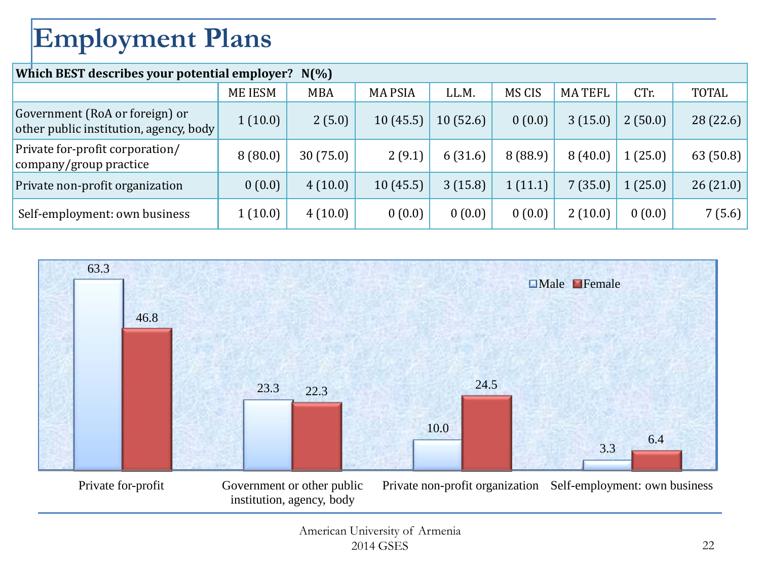# <span id="page-21-0"></span>**Employment Plans**

| Which BEST describes your potential employer? N(%)                       |                |            |                |          |         |               |         |              |  |
|--------------------------------------------------------------------------|----------------|------------|----------------|----------|---------|---------------|---------|--------------|--|
|                                                                          | <b>ME IESM</b> | <b>MBA</b> | <b>MA PSIA</b> | LL.M.    | MS CIS  | <b>MATEFL</b> | CTr.    | <b>TOTAL</b> |  |
| Government (RoA or foreign) or<br>other public institution, agency, body | 1(10.0)        | 2(5.0)     | 10(45.5)       | 10(52.6) | 0(0.0)  | 3(15.0)       | 2(50.0) | 28 (22.6)    |  |
| Private for-profit corporation/<br>company/group practice                | 8(80.0)        | 30(75.0)   | 2(9.1)         | 6(31.6)  | 8(88.9) | 8(40.0)       | 1(25.0) | 63 (50.8)    |  |
| Private non-profit organization                                          | 0(0.0)         | 4(10.0)    | 10(45.5)       | 3(15.8)  | 1(11.1) | 7(35.0)       | 1(25.0) | 26(21.0)     |  |
| Self-employment: own business                                            | 1(10.0)        | 4(10.0)    | 0(0.0)         | 0(0.0)   | 0(0.0)  | 2(10.0)       | 0(0.0)  | 7(5.6)       |  |

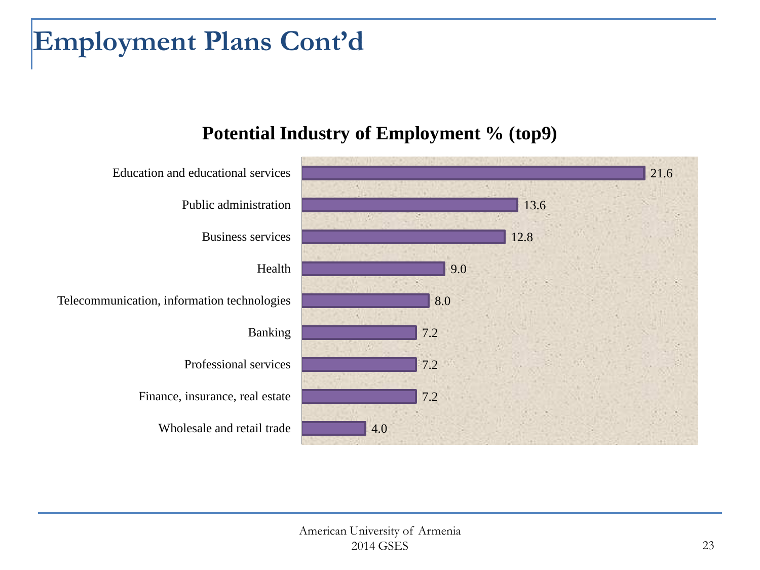#### **Employment Plans Cont'd**

#### **Potential Industry of Employment % (top9)**